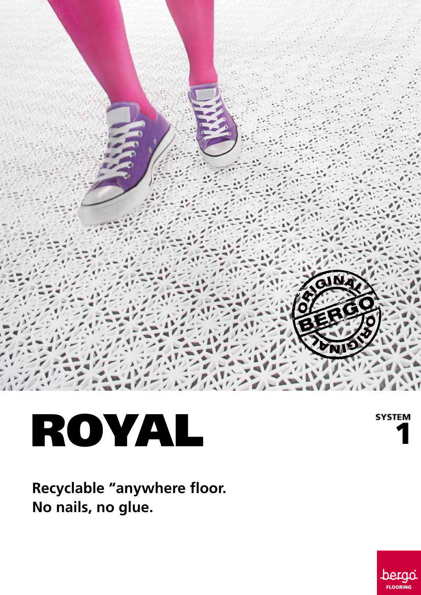

# ROYAL

**SYSTEM** 

**Recyclable "anywhere floor. No nails, no glue.**